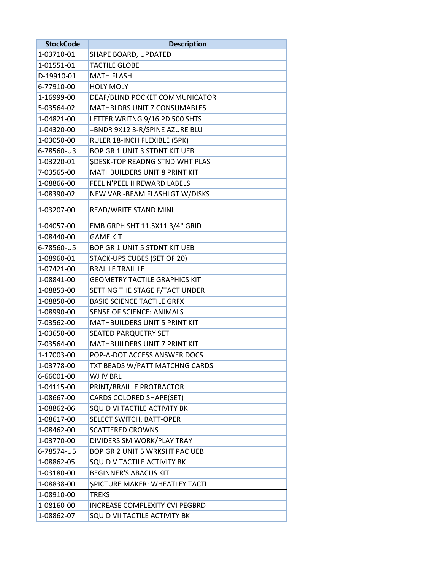| <b>StockCode</b> | <b>Description</b>                     |
|------------------|----------------------------------------|
| 1-03710-01       | SHAPE BOARD, UPDATED                   |
| 1-01551-01       | <b>TACTILE GLOBE</b>                   |
| D-19910-01       | <b>MATH FLASH</b>                      |
| 6-77910-00       | <b>HOLY MOLY</b>                       |
| 1-16999-00       | DEAF/BLIND POCKET COMMUNICATOR         |
| 5-03564-02       | <b>MATHBLDRS UNIT 7 CONSUMABLES</b>    |
| 1-04821-00       | LETTER WRITNG 9/16 PD 500 SHTS         |
| 1-04320-00       | =BNDR 9X12 3-R/SPINE AZURE BLU         |
| 1-03050-00       | RULER 18-INCH FLEXIBLE (5PK)           |
| 6-78560-U3       | <b>BOP GR 1 UNIT 3 STDNT KIT UEB</b>   |
| 1-03220-01       | <b>\$DESK-TOP READNG STND WHT PLAS</b> |
| 7-03565-00       | <b>MATHBUILDERS UNIT 8 PRINT KIT</b>   |
| 1-08866-00       | FEEL N'PEEL II REWARD LABELS           |
| 1-08390-02       | NEW VARI-BEAM FLASHLGT W/DISKS         |
| 1-03207-00       | READ/WRITE STAND MINI                  |
| 1-04057-00       | EMB GRPH SHT 11.5X11 3/4" GRID         |
| 1-08440-00       | <b>GAME KIT</b>                        |
| 6-78560-U5       | <b>BOP GR 1 UNIT 5 STDNT KIT UEB</b>   |
| 1-08960-01       | STACK-UPS CUBES (SET OF 20)            |
| 1-07421-00       | <b>BRAILLE TRAIL LE</b>                |
| 1-08841-00       | <b>GEOMETRY TACTILE GRAPHICS KIT</b>   |
| 1-08853-00       | SETTING THE STAGE F/TACT UNDER         |
| 1-08850-00       | <b>BASIC SCIENCE TACTILE GRFX</b>      |
| 1-08990-00       | <b>SENSE OF SCIENCE: ANIMALS</b>       |
| 7-03562-00       | <b>MATHBUILDERS UNIT 5 PRINT KIT</b>   |
| 1-03650-00       | SEATED PARQUETRY SET                   |
| 7-03564-00       | <b>MATHBUILDERS UNIT 7 PRINT KIT</b>   |
| 1-17003-00       | POP-A-DOT ACCESS ANSWER DOCS           |
| 1-03778-00       | TXT BEADS W/PATT MATCHNG CARDS         |
| 6-66001-00       | WJ IV BRL                              |
| 1-04115-00       | PRINT/BRAILLE PROTRACTOR               |
| 1-08667-00       | CARDS COLORED SHAPE(SET)               |
| 1-08862-06       | SQUID VI TACTILE ACTIVITY BK           |
| 1-08617-00       | SELECT SWITCH, BATT-OPER               |
| 1-08462-00       | <b>SCATTERED CROWNS</b>                |
| 1-03770-00       | DIVIDERS SM WORK/PLAY TRAY             |
| 6-78574-U5       | BOP GR 2 UNIT 5 WRKSHT PAC UEB         |
| 1-08862-05       | SQUID V TACTILE ACTIVITY BK            |
| 1-03180-00       | <b>BEGINNER'S ABACUS KIT</b>           |
| 1-08838-00       | <b>SPICTURE MAKER: WHEATLEY TACTL</b>  |
| 1-08910-00       | <b>TREKS</b>                           |
| 1-08160-00       | <b>INCREASE COMPLEXITY CVI PEGBRD</b>  |
| 1-08862-07       | SQUID VII TACTILE ACTIVITY BK          |